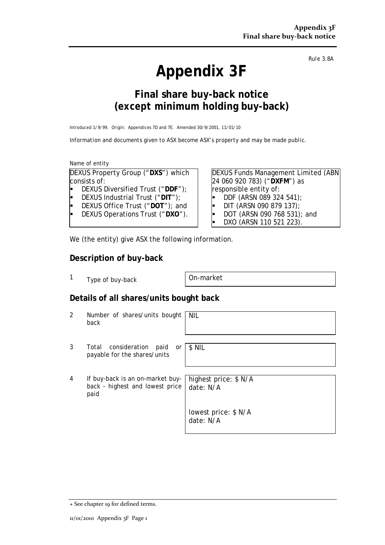# **Appendix 3F**

*Rule 3.8A*

## **Final share buy-back notice (***except* **minimum holding buy-back)**

Introduced 1/9/99. Origin: Appendices 7D and 7E. Amended 30/9/2001, 11/01/10

*Information and documents given to ASX become ASX's property and may be made public.*

Name of entity

DEXUS Property Group ("**DXS**") which consists of:

- DEXUS Diversified Trust ("**DDF**");
- DEXUS Industrial Trust ("**DIT**");
- DEXUS Office Trust ("**DOT**"); and
- DEXUS Operations Trust ("**DXO**").

DEXUS Funds Management Limited (ABN 24 060 920 783) ("**DXFM**") as responsible entity of:

- DDF (ARSN 089 324 541);
- DIT (ARSN 090 879 137);
- DOT (ARSN 090 768 531); and
- DXO (ARSN 110 521 223).

We (the entity) give ASX the following information.

#### **Description of buy-back**

1 Type of buy-back | On-market

paid

\$ NIL

### **Details of all shares/units bought back**

- 2 Number of shares/units bought back NIL
- 3 Total consideration paid or payable for the shares/units

4 If buy-back is an on-market buyback - highest and lowest price

highest price: \$ N/A date: N/A

lowest price: \$ N/A date: N/A

+ See chapter 19 for defined terms.